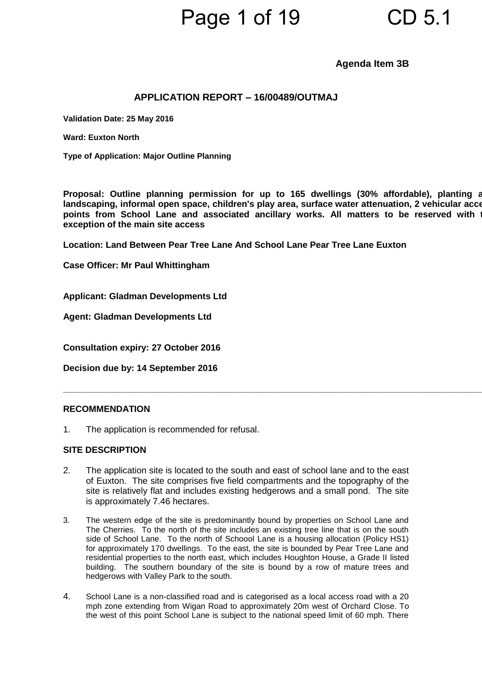### Page 1 of 19 CD 5.1

### **Agenda Item 3B**

### **APPLICATION REPORT – 16/00489/OUTMAJ**

**Validation Date: 25 May 2016**

**Ward: Euxton North**

**Type of Application: Major Outline Planning**

Proposal: Outline planning permission for up to 165 dwellings (30% affordable), planting a **landscaping, informal open space, children's play area, surface water attenuation, 2 vehicular access**  points from School Lane and associated ancillary works. All matters to be reserved with **exception of the main site access**

**\_\_\_\_\_\_\_\_\_\_\_\_\_\_\_\_\_\_\_\_\_\_\_\_\_\_\_\_\_\_\_\_\_\_\_\_\_\_\_\_\_\_\_\_\_\_\_\_\_\_\_\_\_\_\_\_\_\_\_\_\_\_\_\_\_\_\_\_\_\_\_\_\_\_\_\_\_\_\_\_\_\_\_\_\_\_\_**

**Location: Land Between Pear Tree Lane And School Lane Pear Tree Lane Euxton** 

**Case Officer: Mr Paul Whittingham**

**Applicant: Gladman Developments Ltd**

**Agent: Gladman Developments Ltd**

**Consultation expiry: 27 October 2016**

**Decision due by: 14 September 2016**

#### **RECOMMENDATION**

1. The application is recommended for refusal.

### **SITE DESCRIPTION**

- 2. The application site is located to the south and east of school lane and to the east of Euxton. The site comprises five field compartments and the topography of the site is relatively flat and includes existing hedgerows and a small pond. The site is approximately 7.46 hectares.
- 3. The western edge of the site is predominantly bound by properties on School Lane and The Cherries. To the north of the site includes an existing tree line that is on the south side of School Lane. To the north of Schoool Lane is a housing allocation (Policy HS1) for approximately 170 dwellings. To the east, the site is bounded by Pear Tree Lane and residential properties to the north east, which includes Houghton House, a Grade II listed building. The southern boundary of the site is bound by a row of mature trees and hedgerows with Valley Park to the south.
- 4. School Lane is a non-classified road and is categorised as a local access road with a 20 mph zone extending from Wigan Road to approximately 20m west of Orchard Close. To the west of this point School Lane is subject to the national speed limit of 60 mph. There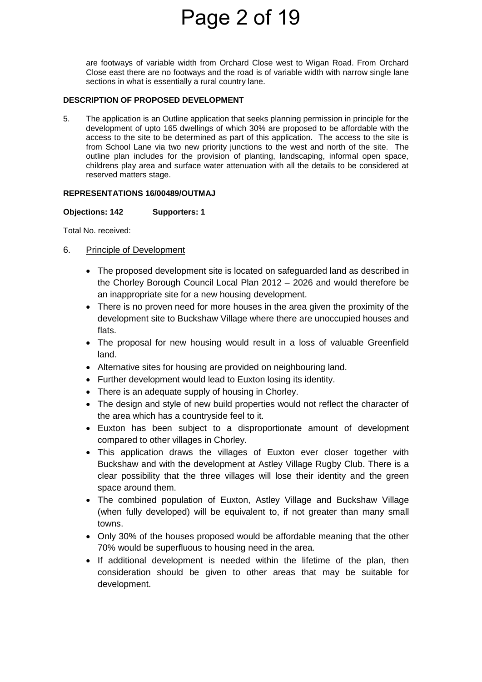## Page 2 of 19

are footways of variable width from Orchard Close west to Wigan Road. From Orchard Close east there are no footways and the road is of variable width with narrow single lane sections in what is essentially a rural country lane.

#### **DESCRIPTION OF PROPOSED DEVELOPMENT**

5. The application is an Outline application that seeks planning permission in principle for the development of upto 165 dwellings of which 30% are proposed to be affordable with the access to the site to be determined as part of this application. The access to the site is from School Lane via two new priority junctions to the west and north of the site. The outline plan includes for the provision of planting, landscaping, informal open space, childrens play area and surface water attenuation with all the details to be considered at reserved matters stage.

### **REPRESENTATIONS 16/00489/OUTMAJ**

### **Objections: 142 Supporters: 1**

Total No. received:

- 6. Principle of Development
	- The proposed development site is located on safeguarded land as described in the Chorley Borough Council Local Plan 2012 – 2026 and would therefore be an inappropriate site for a new housing development.
	- There is no proven need for more houses in the area given the proximity of the development site to Buckshaw Village where there are unoccupied houses and flats.
	- The proposal for new housing would result in a loss of valuable Greenfield land.
	- Alternative sites for housing are provided on neighbouring land.
	- Further development would lead to Euxton losing its identity.
	- There is an adequate supply of housing in Chorley.
	- The design and style of new build properties would not reflect the character of the area which has a countryside feel to it.
	- Euxton has been subject to a disproportionate amount of development compared to other villages in Chorley.
	- This application draws the villages of Euxton ever closer together with Buckshaw and with the development at Astley Village Rugby Club. There is a clear possibility that the three villages will lose their identity and the green space around them.
	- The combined population of Euxton, Astley Village and Buckshaw Village (when fully developed) will be equivalent to, if not greater than many small towns.
	- Only 30% of the houses proposed would be affordable meaning that the other 70% would be superfluous to housing need in the area.
	- If additional development is needed within the lifetime of the plan, then consideration should be given to other areas that may be suitable for development.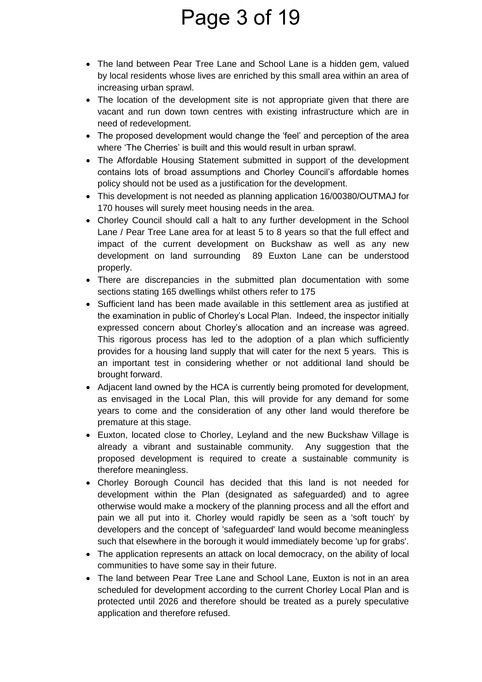### Page 3 of 19

- The land between Pear Tree Lane and School Lane is a hidden gem, valued by local residents whose lives are enriched by this small area within an area of increasing urban sprawl.
- The location of the development site is not appropriate given that there are vacant and run down town centres with existing infrastructure which are in need of redevelopment.
- The proposed development would change the 'feel' and perception of the area where 'The Cherries' is built and this would result in urban sprawl.
- The Affordable Housing Statement submitted in support of the development contains lots of broad assumptions and Chorley Council's affordable homes policy should not be used as a justification for the development.
- This development is not needed as planning application 16/00380/OUTMAJ for 170 houses will surely meet housing needs in the area.
- Chorley Council should call a halt to any further development in the School Lane / Pear Tree Lane area for at least 5 to 8 years so that the full effect and impact of the current development on Buckshaw as well as any new development on land surrounding 89 Euxton Lane can be understood properly.
- There are discrepancies in the submitted plan documentation with some sections stating 165 dwellings whilst others refer to 175
- Sufficient land has been made available in this settlement area as justified at the examination in public of Chorley's Local Plan. Indeed, the inspector initially expressed concern about Chorley's allocation and an increase was agreed. This rigorous process has led to the adoption of a plan which sufficiently provides for a housing land supply that will cater for the next 5 years. This is an important test in considering whether or not additional land should be brought forward.
- Adjacent land owned by the HCA is currently being promoted for development, as envisaged in the Local Plan, this will provide for any demand for some years to come and the consideration of any other land would therefore be premature at this stage.
- Euxton, located close to Chorley, Leyland and the new Buckshaw Village is already a vibrant and sustainable community. Any suggestion that the proposed development is required to create a sustainable community is therefore meaningless.
- Chorley Borough Council has decided that this land is not needed for development within the Plan (designated as safeguarded) and to agree otherwise would make a mockery of the planning process and all the effort and pain we all put into it. Chorley would rapidly be seen as a 'soft touch' by developers and the concept of 'safeguarded' land would become meaningless such that elsewhere in the borough it would immediately become 'up for grabs'.
- The application represents an attack on local democracy, on the ability of local communities to have some say in their future.
- The land between Pear Tree Lane and School Lane, Euxton is not in an area scheduled for development according to the current Chorley Local Plan and is protected until 2026 and therefore should be treated as a purely speculative application and therefore refused.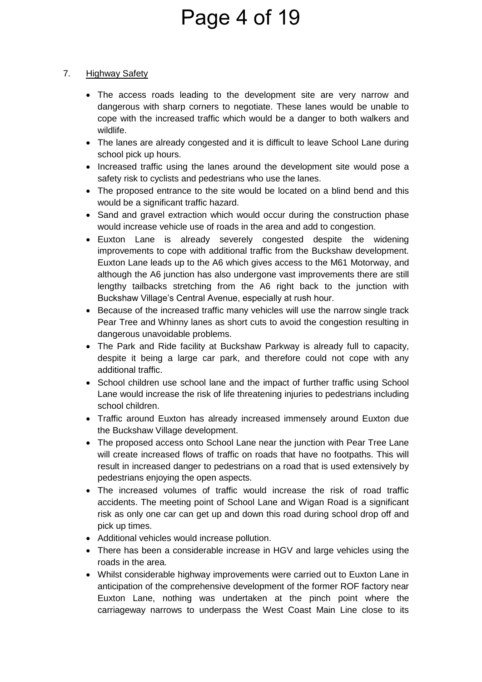# Page 4 of 19

### 7. Highway Safety

- The access roads leading to the development site are very narrow and dangerous with sharp corners to negotiate. These lanes would be unable to cope with the increased traffic which would be a danger to both walkers and wildlife.
- The lanes are already congested and it is difficult to leave School Lane during school pick up hours.
- Increased traffic using the lanes around the development site would pose a safety risk to cyclists and pedestrians who use the lanes.
- The proposed entrance to the site would be located on a blind bend and this would be a significant traffic hazard.
- Sand and gravel extraction which would occur during the construction phase would increase vehicle use of roads in the area and add to congestion.
- Euxton Lane is already severely congested despite the widening improvements to cope with additional traffic from the Buckshaw development. Euxton Lane leads up to the A6 which gives access to the M61 Motorway, and although the A6 junction has also undergone vast improvements there are still lengthy tailbacks stretching from the A6 right back to the junction with Buckshaw Village's Central Avenue, especially at rush hour.
- Because of the increased traffic many vehicles will use the narrow single track Pear Tree and Whinny lanes as short cuts to avoid the congestion resulting in dangerous unavoidable problems.
- The Park and Ride facility at Buckshaw Parkway is already full to capacity, despite it being a large car park, and therefore could not cope with any additional traffic.
- School children use school lane and the impact of further traffic using School Lane would increase the risk of life threatening injuries to pedestrians including school children.
- Traffic around Euxton has already increased immensely around Euxton due the Buckshaw Village development.
- The proposed access onto School Lane near the junction with Pear Tree Lane will create increased flows of traffic on roads that have no footpaths. This will result in increased danger to pedestrians on a road that is used extensively by pedestrians enjoying the open aspects.
- The increased volumes of traffic would increase the risk of road traffic accidents. The meeting point of School Lane and Wigan Road is a significant risk as only one car can get up and down this road during school drop off and pick up times.
- Additional vehicles would increase pollution.
- There has been a considerable increase in HGV and large vehicles using the roads in the area.
- Whilst considerable highway improvements were carried out to Euxton Lane in anticipation of the comprehensive development of the former ROF factory near Euxton Lane, nothing was undertaken at the pinch point where the carriageway narrows to underpass the West Coast Main Line close to its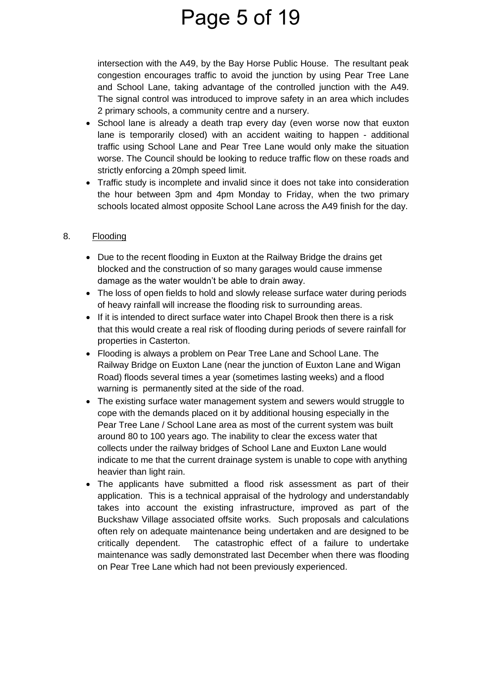### Page 5 of 19

intersection with the A49, by the Bay Horse Public House. The resultant peak congestion encourages traffic to avoid the junction by using Pear Tree Lane and School Lane, taking advantage of the controlled junction with the A49. The signal control was introduced to improve safety in an area which includes 2 primary schools, a community centre and a nursery.

- School lane is already a death trap every day (even worse now that euxton lane is temporarily closed) with an accident waiting to happen - additional traffic using School Lane and Pear Tree Lane would only make the situation worse. The Council should be looking to reduce traffic flow on these roads and strictly enforcing a 20mph speed limit.
- Traffic study is incomplete and invalid since it does not take into consideration the hour between 3pm and 4pm Monday to Friday, when the two primary schools located almost opposite School Lane across the A49 finish for the day.

### 8. Flooding

- Due to the recent flooding in Euxton at the Railway Bridge the drains get blocked and the construction of so many garages would cause immense damage as the water wouldn't be able to drain away.
- The loss of open fields to hold and slowly release surface water during periods of heavy rainfall will increase the flooding risk to surrounding areas.
- If it is intended to direct surface water into Chapel Brook then there is a risk that this would create a real risk of flooding during periods of severe rainfall for properties in Casterton.
- Flooding is always a problem on Pear Tree Lane and School Lane. The Railway Bridge on Euxton Lane (near the junction of Euxton Lane and Wigan Road) floods several times a year (sometimes lasting weeks) and a flood warning is permanently sited at the side of the road.
- The existing surface water management system and sewers would struggle to cope with the demands placed on it by additional housing especially in the Pear Tree Lane / School Lane area as most of the current system was built around 80 to 100 years ago. The inability to clear the excess water that collects under the railway bridges of School Lane and Euxton Lane would indicate to me that the current drainage system is unable to cope with anything heavier than light rain.
- The applicants have submitted a flood risk assessment as part of their application. This is a technical appraisal of the hydrology and understandably takes into account the existing infrastructure, improved as part of the Buckshaw Village associated offsite works. Such proposals and calculations often rely on adequate maintenance being undertaken and are designed to be critically dependent. The catastrophic effect of a failure to undertake maintenance was sadly demonstrated last December when there was flooding on Pear Tree Lane which had not been previously experienced.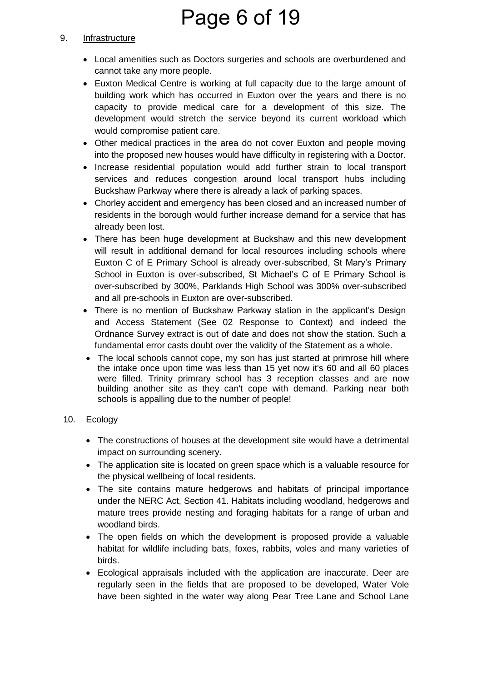# Page 6 of 19

### 9. Infrastructure

- Local amenities such as Doctors surgeries and schools are overburdened and cannot take any more people.
- Euxton Medical Centre is working at full capacity due to the large amount of building work which has occurred in Euxton over the years and there is no capacity to provide medical care for a development of this size. The development would stretch the service beyond its current workload which would compromise patient care.
- Other medical practices in the area do not cover Euxton and people moving into the proposed new houses would have difficulty in registering with a Doctor.
- Increase residential population would add further strain to local transport services and reduces congestion around local transport hubs including Buckshaw Parkway where there is already a lack of parking spaces.
- Chorley accident and emergency has been closed and an increased number of residents in the borough would further increase demand for a service that has already been lost.
- There has been huge development at Buckshaw and this new development will result in additional demand for local resources including schools where Euxton C of E Primary School is already over-subscribed, St Mary's Primary School in Euxton is over-subscribed, St Michael's C of E Primary School is over-subscribed by 300%, Parklands High School was 300% over-subscribed and all pre-schools in Euxton are over-subscribed.
- There is no mention of Buckshaw Parkway station in the applicant's Design and Access Statement (See 02 Response to Context) and indeed the Ordnance Survey extract is out of date and does not show the station. Such a fundamental error casts doubt over the validity of the Statement as a whole.
- The local schools cannot cope, my son has just started at primrose hill where the intake once upon time was less than 15 yet now it's 60 and all 60 places were filled. Trinity primrary school has 3 reception classes and are now building another site as they can't cope with demand. Parking near both schools is appalling due to the number of people!

### 10. Ecology

- The constructions of houses at the development site would have a detrimental impact on surrounding scenery.
- The application site is located on green space which is a valuable resource for the physical wellbeing of local residents.
- The site contains mature hedgerows and habitats of principal importance under the NERC Act, Section 41. Habitats including woodland, hedgerows and mature trees provide nesting and foraging habitats for a range of urban and woodland birds.
- The open fields on which the development is proposed provide a valuable habitat for wildlife including bats, foxes, rabbits, voles and many varieties of birds.
- Ecological appraisals included with the application are inaccurate. Deer are regularly seen in the fields that are proposed to be developed, Water Vole have been sighted in the water way along Pear Tree Lane and School Lane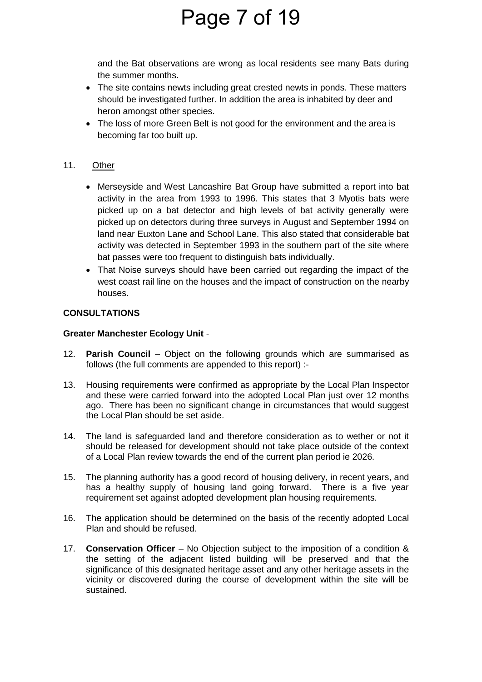# Page 7 of 19

and the Bat observations are wrong as local residents see many Bats during the summer months.

- The site contains newts including great crested newts in ponds. These matters should be investigated further. In addition the area is inhabited by deer and heron amongst other species.
- The loss of more Green Belt is not good for the environment and the area is becoming far too built up.

### 11. Other

- Merseyside and West Lancashire Bat Group have submitted a report into bat activity in the area from 1993 to 1996. This states that 3 Myotis bats were picked up on a bat detector and high levels of bat activity generally were picked up on detectors during three surveys in August and September 1994 on land near Euxton Lane and School Lane. This also stated that considerable bat activity was detected in September 1993 in the southern part of the site where bat passes were too frequent to distinguish bats individually.
- That Noise surveys should have been carried out regarding the impact of the west coast rail line on the houses and the impact of construction on the nearby houses.

### **CONSULTATIONS**

### **Greater Manchester Ecology Unit** -

- 12. **Parish Council**  Object on the following grounds which are summarised as follows (the full comments are appended to this report) :-
- 13. Housing requirements were confirmed as appropriate by the Local Plan Inspector and these were carried forward into the adopted Local Plan just over 12 months ago. There has been no significant change in circumstances that would suggest the Local Plan should be set aside.
- 14. The land is safeguarded land and therefore consideration as to wether or not it should be released for development should not take place outside of the context of a Local Plan review towards the end of the current plan period ie 2026.
- 15. The planning authority has a good record of housing delivery, in recent years, and has a healthy supply of housing land going forward. There is a five year requirement set against adopted development plan housing requirements.
- 16. The application should be determined on the basis of the recently adopted Local Plan and should be refused.
- 17. **Conservation Officer**  No Objection subject to the imposition of a condition & the setting of the adjacent listed building will be preserved and that the significance of this designated heritage asset and any other heritage assets in the vicinity or discovered during the course of development within the site will be sustained.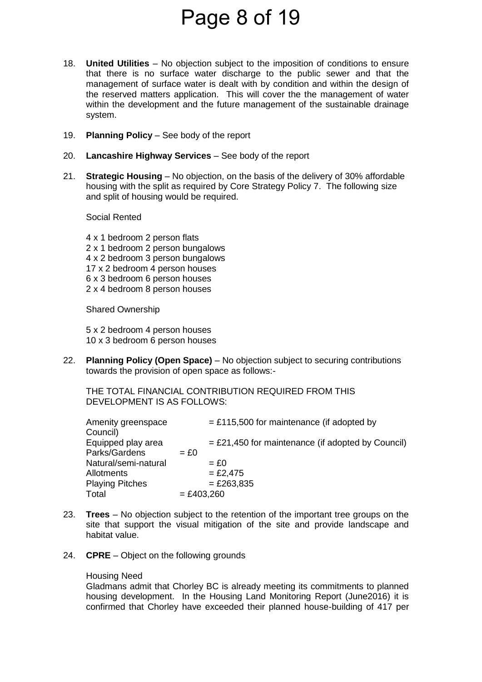### Page 8 of 19

- 18. **United Utilities**  No objection subject to the imposition of conditions to ensure that there is no surface water discharge to the public sewer and that the management of surface water is dealt with by condition and within the design of the reserved matters application. This will cover the the management of water within the development and the future management of the sustainable drainage system.
- 19. **Planning Policy**  See body of the report
- 20. **Lancashire Highway Services** See body of the report
- 21. **Strategic Housing**  No objection, on the basis of the delivery of 30% affordable housing with the split as required by Core Strategy Policy 7. The following size and split of housing would be required.

Social Rented

4 x 1 bedroom 2 person flats 2 x 1 bedroom 2 person bungalows 4 x 2 bedroom 3 person bungalows 17 x 2 bedroom 4 person houses 6 x 3 bedroom 6 person houses 2 x 4 bedroom 8 person houses

Shared Ownership

5 x 2 bedroom 4 person houses 10 x 3 bedroom 6 person houses

22. **Planning Policy (Open Space)** – No objection subject to securing contributions towards the provision of open space as follows:-

THE TOTAL FINANCIAL CONTRIBUTION REQUIRED FROM THIS DEVELOPMENT IS AS FOLLOWS:

| Amenity greenspace     |              | $=$ £115,500 for maintenance (if adopted by         |
|------------------------|--------------|-----------------------------------------------------|
| Council)               |              |                                                     |
| Equipped play area     |              | $=$ £21,450 for maintenance (if adopted by Council) |
| Parks/Gardens          | $= £0$       |                                                     |
| Natural/semi-natural   |              | $=$ £0                                              |
| Allotments             |              | $= £2,475$                                          |
| <b>Playing Pitches</b> |              | $= £263,835$                                        |
| Total                  | $= £403,260$ |                                                     |

- 23. **Trees** No objection subject to the retention of the important tree groups on the site that support the visual mitigation of the site and provide landscape and habitat value.
- 24. **CPRE**  Object on the following grounds

#### Housing Need

 Gladmans admit that Chorley BC is already meeting its commitments to planned housing development. In the Housing Land Monitoring Report (June2016) it is confirmed that Chorley have exceeded their planned house-building of 417 per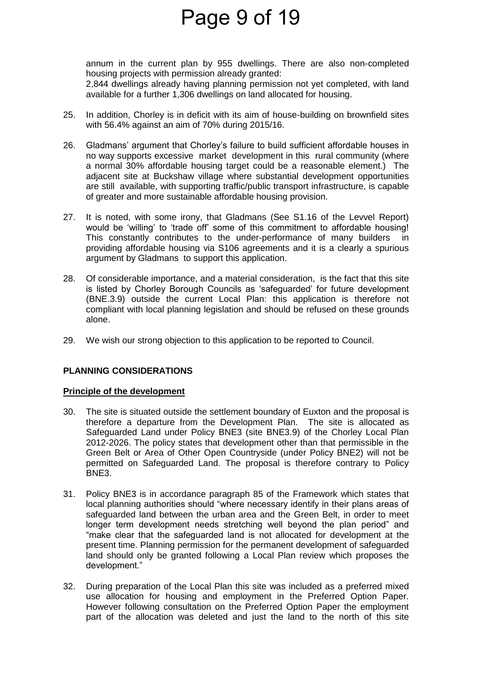### Page 9 of 19

annum in the current plan by 955 dwellings. There are also non-completed housing projects with permission already granted: 2,844 dwellings already having planning permission not yet completed, with land available for a further 1,306 dwellings on land allocated for housing.

- 25. In addition, Chorley is in deficit with its aim of house-building on brownfield sites with 56.4% against an aim of 70% during 2015/16.
- 26. Gladmans' argument that Chorley's failure to build sufficient affordable houses in no way supports excessive market development in this rural community (where a normal 30% affordable housing target could be a reasonable element.) The adjacent site at Buckshaw village where substantial development opportunities are still available, with supporting traffic/public transport infrastructure, is capable of greater and more sustainable affordable housing provision.
- 27. It is noted, with some irony, that Gladmans (See S1.16 of the Levvel Report) would be 'willing' to 'trade off' some of this commitment to affordable housing! This constantly contributes to the under-performance of many builders in providing affordable housing via S106 agreements and it is a clearly a spurious argument by Gladmans to support this application.
- 28. Of considerable importance, and a material consideration, is the fact that this site is listed by Chorley Borough Councils as 'safeguarded' for future development (BNE.3.9) outside the current Local Plan: this application is therefore not compliant with local planning legislation and should be refused on these grounds alone.
- 29. We wish our strong objection to this application to be reported to Council.

### **PLANNING CONSIDERATIONS**

### **Principle of the development**

- 30. The site is situated outside the settlement boundary of Euxton and the proposal is therefore a departure from the Development Plan. The site is allocated as Safeguarded Land under Policy BNE3 (site BNE3.9) of the Chorley Local Plan 2012-2026. The policy states that development other than that permissible in the Green Belt or Area of Other Open Countryside (under Policy BNE2) will not be permitted on Safeguarded Land. The proposal is therefore contrary to Policy BNE3.
- 31. Policy BNE3 is in accordance paragraph 85 of the Framework which states that local planning authorities should "where necessary identify in their plans areas of safeguarded land between the urban area and the Green Belt, in order to meet longer term development needs stretching well beyond the plan period" and "make clear that the safeguarded land is not allocated for development at the present time. Planning permission for the permanent development of safeguarded land should only be granted following a Local Plan review which proposes the development."
- 32. During preparation of the Local Plan this site was included as a preferred mixed use allocation for housing and employment in the Preferred Option Paper. However following consultation on the Preferred Option Paper the employment part of the allocation was deleted and just the land to the north of this site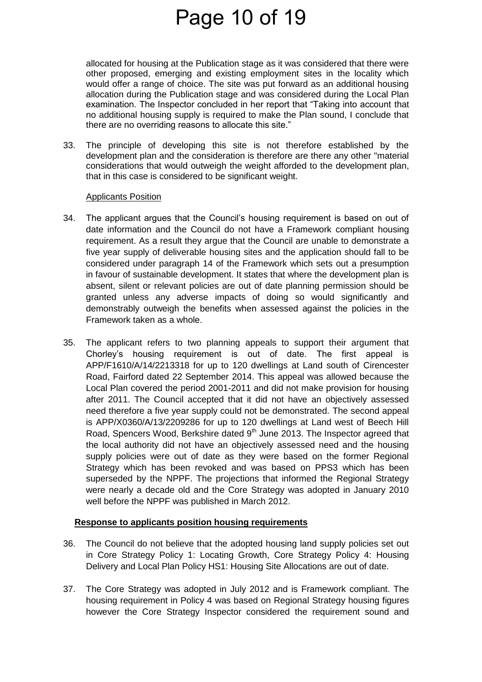### Page 10 of 19

allocated for housing at the Publication stage as it was considered that there were other proposed, emerging and existing employment sites in the locality which would offer a range of choice. The site was put forward as an additional housing allocation during the Publication stage and was considered during the Local Plan examination. The Inspector concluded in her report that "Taking into account that no additional housing supply is required to make the Plan sound, I conclude that there are no overriding reasons to allocate this site."

33. The principle of developing this site is not therefore established by the development plan and the consideration is therefore are there any other "material considerations that would outweigh the weight afforded to the development plan, that in this case is considered to be significant weight.

#### Applicants Position

- 34. The applicant argues that the Council's housing requirement is based on out of date information and the Council do not have a Framework compliant housing requirement. As a result they argue that the Council are unable to demonstrate a five year supply of deliverable housing sites and the application should fall to be considered under paragraph 14 of the Framework which sets out a presumption in favour of sustainable development. It states that where the development plan is absent, silent or relevant policies are out of date planning permission should be granted unless any adverse impacts of doing so would significantly and demonstrably outweigh the benefits when assessed against the policies in the Framework taken as a whole.
- 35. The applicant refers to two planning appeals to support their argument that Chorley's housing requirement is out of date. The first appeal is APP/F1610/A/14/2213318 for up to 120 dwellings at Land south of Cirencester Road, Fairford dated 22 September 2014. This appeal was allowed because the Local Plan covered the period 2001-2011 and did not make provision for housing after 2011. The Council accepted that it did not have an objectively assessed need therefore a five year supply could not be demonstrated. The second appeal is APP/X0360/A/13/2209286 for up to 120 dwellings at Land west of Beech Hill Road, Spencers Wood, Berkshire dated 9<sup>th</sup> June 2013. The Inspector agreed that the local authority did not have an objectively assessed need and the housing supply policies were out of date as they were based on the former Regional Strategy which has been revoked and was based on PPS3 which has been superseded by the NPPF. The projections that informed the Regional Strategy were nearly a decade old and the Core Strategy was adopted in January 2010 well before the NPPF was published in March 2012.

### **Response to applicants position housing requirements**

- 36. The Council do not believe that the adopted housing land supply policies set out in Core Strategy Policy 1: Locating Growth, Core Strategy Policy 4: Housing Delivery and Local Plan Policy HS1: Housing Site Allocations are out of date.
- 37. The Core Strategy was adopted in July 2012 and is Framework compliant. The housing requirement in Policy 4 was based on Regional Strategy housing figures however the Core Strategy Inspector considered the requirement sound and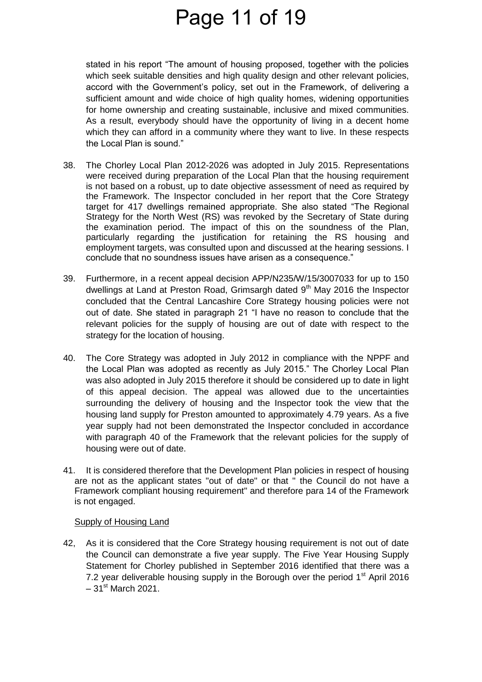### Page 11 of 19

stated in his report "The amount of housing proposed, together with the policies which seek suitable densities and high quality design and other relevant policies, accord with the Government's policy, set out in the Framework, of delivering a sufficient amount and wide choice of high quality homes, widening opportunities for home ownership and creating sustainable, inclusive and mixed communities. As a result, everybody should have the opportunity of living in a decent home which they can afford in a community where they want to live. In these respects the Local Plan is sound."

- 38. The Chorley Local Plan 2012-2026 was adopted in July 2015. Representations were received during preparation of the Local Plan that the housing requirement is not based on a robust, up to date objective assessment of need as required by the Framework. The Inspector concluded in her report that the Core Strategy target for 417 dwellings remained appropriate. She also stated "The Regional Strategy for the North West (RS) was revoked by the Secretary of State during the examination period. The impact of this on the soundness of the Plan, particularly regarding the justification for retaining the RS housing and employment targets, was consulted upon and discussed at the hearing sessions. I conclude that no soundness issues have arisen as a consequence."
- 39. Furthermore, in a recent appeal decision APP/N235/W/15/3007033 for up to 150 dwellings at Land at Preston Road, Grimsargh dated 9<sup>th</sup> May 2016 the Inspector concluded that the Central Lancashire Core Strategy housing policies were not out of date. She stated in paragraph 21 "I have no reason to conclude that the relevant policies for the supply of housing are out of date with respect to the strategy for the location of housing.
- 40. The Core Strategy was adopted in July 2012 in compliance with the NPPF and the Local Plan was adopted as recently as July 2015." The Chorley Local Plan was also adopted in July 2015 therefore it should be considered up to date in light of this appeal decision. The appeal was allowed due to the uncertainties surrounding the delivery of housing and the Inspector took the view that the housing land supply for Preston amounted to approximately 4.79 years. As a five year supply had not been demonstrated the Inspector concluded in accordance with paragraph 40 of the Framework that the relevant policies for the supply of housing were out of date.
- 41. It is considered therefore that the Development Plan policies in respect of housing are not as the applicant states "out of date" or that " the Council do not have a Framework compliant housing requirement" and therefore para 14 of the Framework is not engaged.

### Supply of Housing Land

42, As it is considered that the Core Strategy housing requirement is not out of date the Council can demonstrate a five year supply. The Five Year Housing Supply Statement for Chorley published in September 2016 identified that there was a 7.2 year deliverable housing supply in the Borough over the period  $1<sup>st</sup>$  April 2016  $-31$ <sup>st</sup> March 2021.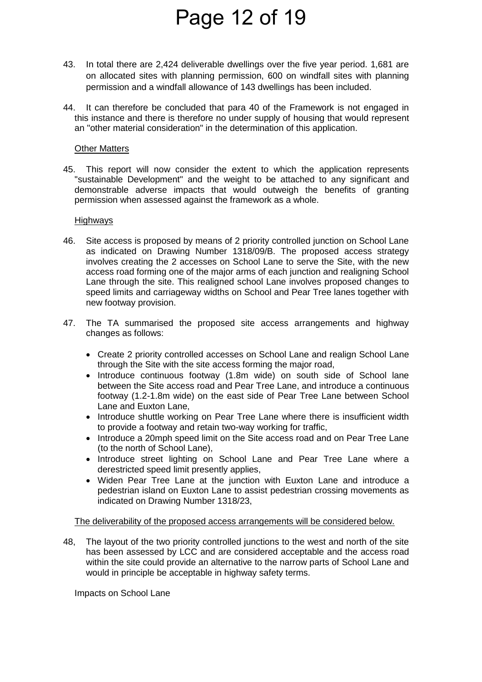# Page 12 of 19

- 43. In total there are 2,424 deliverable dwellings over the five year period. 1,681 are on allocated sites with planning permission, 600 on windfall sites with planning permission and a windfall allowance of 143 dwellings has been included.
- 44. It can therefore be concluded that para 40 of the Framework is not engaged in this instance and there is therefore no under supply of housing that would represent an "other material consideration" in the determination of this application.

#### Other Matters

45. This report will now consider the extent to which the application represents "sustainable Development" and the weight to be attached to any significant and demonstrable adverse impacts that would outweigh the benefits of granting permission when assessed against the framework as a whole.

### Highways

- 46. Site access is proposed by means of 2 priority controlled junction on School Lane as indicated on Drawing Number 1318/09/B. The proposed access strategy involves creating the 2 accesses on School Lane to serve the Site, with the new access road forming one of the major arms of each junction and realigning School Lane through the site. This realigned school Lane involves proposed changes to speed limits and carriageway widths on School and Pear Tree lanes together with new footway provision.
- 47. The TA summarised the proposed site access arrangements and highway changes as follows:
	- Create 2 priority controlled accesses on School Lane and realign School Lane through the Site with the site access forming the major road,
	- Introduce continuous footway (1.8m wide) on south side of School lane between the Site access road and Pear Tree Lane, and introduce a continuous footway (1.2-1.8m wide) on the east side of Pear Tree Lane between School Lane and Euxton Lane,
	- Introduce shuttle working on Pear Tree Lane where there is insufficient width to provide a footway and retain two-way working for traffic,
	- Introduce a 20mph speed limit on the Site access road and on Pear Tree Lane (to the north of School Lane),
	- Introduce street lighting on School Lane and Pear Tree Lane where a derestricted speed limit presently applies,
	- Widen Pear Tree Lane at the junction with Euxton Lane and introduce a pedestrian island on Euxton Lane to assist pedestrian crossing movements as indicated on Drawing Number 1318/23,

#### The deliverability of the proposed access arrangements will be considered below.

48, The layout of the two priority controlled junctions to the west and north of the site has been assessed by LCC and are considered acceptable and the access road within the site could provide an alternative to the narrow parts of School Lane and would in principle be acceptable in highway safety terms.

Impacts on School Lane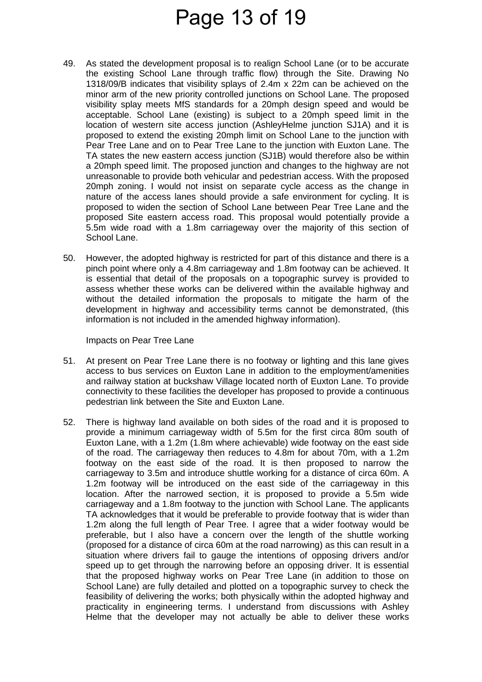### Page 13 of 19

- 49. As stated the development proposal is to realign School Lane (or to be accurate the existing School Lane through traffic flow) through the Site. Drawing No 1318/09/B indicates that visibility splays of 2.4m x 22m can be achieved on the minor arm of the new priority controlled junctions on School Lane. The proposed visibility splay meets MfS standards for a 20mph design speed and would be acceptable. School Lane (existing) is subject to a 20mph speed limit in the location of western site access junction (AshleyHelme junction SJ1A) and it is proposed to extend the existing 20mph limit on School Lane to the junction with Pear Tree Lane and on to Pear Tree Lane to the junction with Euxton Lane. The TA states the new eastern access junction (SJ1B) would therefore also be within a 20mph speed limit. The proposed junction and changes to the highway are not unreasonable to provide both vehicular and pedestrian access. With the proposed 20mph zoning. I would not insist on separate cycle access as the change in nature of the access lanes should provide a safe environment for cycling. It is proposed to widen the section of School Lane between Pear Tree Lane and the proposed Site eastern access road. This proposal would potentially provide a 5.5m wide road with a 1.8m carriageway over the majority of this section of School Lane.
- 50. However, the adopted highway is restricted for part of this distance and there is a pinch point where only a 4.8m carriageway and 1.8m footway can be achieved. It is essential that detail of the proposals on a topographic survey is provided to assess whether these works can be delivered within the available highway and without the detailed information the proposals to mitigate the harm of the development in highway and accessibility terms cannot be demonstrated, (this information is not included in the amended highway information).

Impacts on Pear Tree Lane

- 51. At present on Pear Tree Lane there is no footway or lighting and this lane gives access to bus services on Euxton Lane in addition to the employment/amenities and railway station at buckshaw Village located north of Euxton Lane. To provide connectivity to these facilities the developer has proposed to provide a continuous pedestrian link between the Site and Euxton Lane.
- 52. There is highway land available on both sides of the road and it is proposed to provide a minimum carriageway width of 5.5m for the first circa 80m south of Euxton Lane, with a 1.2m (1.8m where achievable) wide footway on the east side of the road. The carriageway then reduces to 4.8m for about 70m, with a 1.2m footway on the east side of the road. It is then proposed to narrow the carriageway to 3.5m and introduce shuttle working for a distance of circa 60m. A 1.2m footway will be introduced on the east side of the carriageway in this location. After the narrowed section, it is proposed to provide a 5.5m wide carriageway and a 1.8m footway to the junction with School Lane. The applicants TA acknowledges that it would be preferable to provide footway that is wider than 1.2m along the full length of Pear Tree. I agree that a wider footway would be preferable, but I also have a concern over the length of the shuttle working (proposed for a distance of circa 60m at the road narrowing) as this can result in a situation where drivers fail to gauge the intentions of opposing drivers and/or speed up to get through the narrowing before an opposing driver. It is essential that the proposed highway works on Pear Tree Lane (in addition to those on School Lane) are fully detailed and plotted on a topographic survey to check the feasibility of delivering the works; both physically within the adopted highway and practicality in engineering terms. I understand from discussions with Ashley Helme that the developer may not actually be able to deliver these works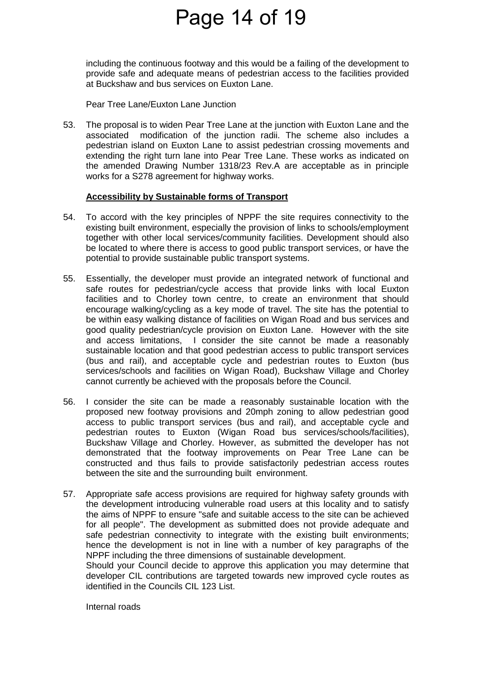### Page 14 of 19

including the continuous footway and this would be a failing of the development to provide safe and adequate means of pedestrian access to the facilities provided at Buckshaw and bus services on Euxton Lane.

Pear Tree Lane/Euxton Lane Junction

53. The proposal is to widen Pear Tree Lane at the junction with Euxton Lane and the associated modification of the junction radii. The scheme also includes a pedestrian island on Euxton Lane to assist pedestrian crossing movements and extending the right turn lane into Pear Tree Lane. These works as indicated on the amended Drawing Number 1318/23 Rev.A are acceptable as in principle works for a S278 agreement for highway works.

### **Accessibility by Sustainable forms of Transport**

- 54. To accord with the key principles of NPPF the site requires connectivity to the existing built environment, especially the provision of links to schools/employment together with other local services/community facilities. Development should also be located to where there is access to good public transport services, or have the potential to provide sustainable public transport systems.
- 55. Essentially, the developer must provide an integrated network of functional and safe routes for pedestrian/cycle access that provide links with local Euxton facilities and to Chorley town centre, to create an environment that should encourage walking/cycling as a key mode of travel. The site has the potential to be within easy walking distance of facilities on Wigan Road and bus services and good quality pedestrian/cycle provision on Euxton Lane. However with the site and access limitations, I consider the site cannot be made a reasonably sustainable location and that good pedestrian access to public transport services (bus and rail), and acceptable cycle and pedestrian routes to Euxton (bus services/schools and facilities on Wigan Road), Buckshaw Village and Chorley cannot currently be achieved with the proposals before the Council.
- 56. I consider the site can be made a reasonably sustainable location with the proposed new footway provisions and 20mph zoning to allow pedestrian good access to public transport services (bus and rail), and acceptable cycle and pedestrian routes to Euxton (Wigan Road bus services/schools/facilities), Buckshaw Village and Chorley. However, as submitted the developer has not demonstrated that the footway improvements on Pear Tree Lane can be constructed and thus fails to provide satisfactorily pedestrian access routes between the site and the surrounding built environment.
- 57. Appropriate safe access provisions are required for highway safety grounds with the development introducing vulnerable road users at this locality and to satisfy the aims of NPPF to ensure "safe and suitable access to the site can be achieved for all people". The development as submitted does not provide adequate and safe pedestrian connectivity to integrate with the existing built environments; hence the development is not in line with a number of key paragraphs of the NPPF including the three dimensions of sustainable development.

 Should your Council decide to approve this application you may determine that developer CIL contributions are targeted towards new improved cycle routes as identified in the Councils CIL 123 List.

Internal roads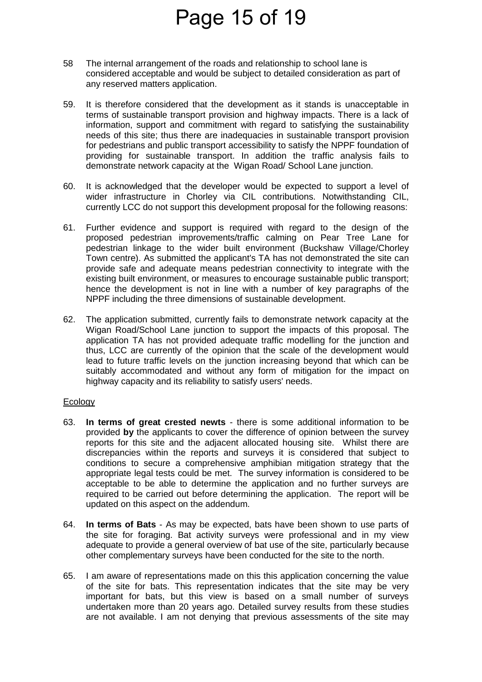# Page 15 of 19

- 58 The internal arrangement of the roads and relationship to school lane is considered acceptable and would be subject to detailed consideration as part of any reserved matters application.
- 59. It is therefore considered that the development as it stands is unacceptable in terms of sustainable transport provision and highway impacts. There is a lack of information, support and commitment with regard to satisfying the sustainability needs of this site; thus there are inadequacies in sustainable transport provision for pedestrians and public transport accessibility to satisfy the NPPF foundation of providing for sustainable transport. In addition the traffic analysis fails to demonstrate network capacity at the Wigan Road/ School Lane junction.
- 60. It is acknowledged that the developer would be expected to support a level of wider infrastructure in Chorley via CIL contributions. Notwithstanding CIL, currently LCC do not support this development proposal for the following reasons:
- 61. Further evidence and support is required with regard to the design of the proposed pedestrian improvements/traffic calming on Pear Tree Lane for pedestrian linkage to the wider built environment (Buckshaw Village/Chorley Town centre). As submitted the applicant's TA has not demonstrated the site can provide safe and adequate means pedestrian connectivity to integrate with the existing built environment, or measures to encourage sustainable public transport; hence the development is not in line with a number of key paragraphs of the NPPF including the three dimensions of sustainable development.
- 62. The application submitted, currently fails to demonstrate network capacity at the Wigan Road/School Lane junction to support the impacts of this proposal. The application TA has not provided adequate traffic modelling for the junction and thus, LCC are currently of the opinion that the scale of the development would lead to future traffic levels on the junction increasing beyond that which can be suitably accommodated and without any form of mitigation for the impact on highway capacity and its reliability to satisfy users' needs.

#### Ecology

- 63. **In terms of great crested newts** there is some additional information to be provided **by** the applicants to cover the difference of opinion between the survey reports for this site and the adjacent allocated housing site. Whilst there are discrepancies within the reports and surveys it is considered that subject to conditions to secure a comprehensive amphibian mitigation strategy that the appropriate legal tests could be met. The survey information is considered to be acceptable to be able to determine the application and no further surveys are required to be carried out before determining the application. The report will be updated on this aspect on the addendum.
- 64. **In terms of Bats** As may be expected, bats have been shown to use parts of the site for foraging. Bat activity surveys were professional and in my view adequate to provide a general overview of bat use of the site, particularly because other complementary surveys have been conducted for the site to the north.
- 65. I am aware of representations made on this this application concerning the value of the site for bats. This representation indicates that the site may be very important for bats, but this view is based on a small number of surveys undertaken more than 20 years ago. Detailed survey results from these studies are not available. I am not denying that previous assessments of the site may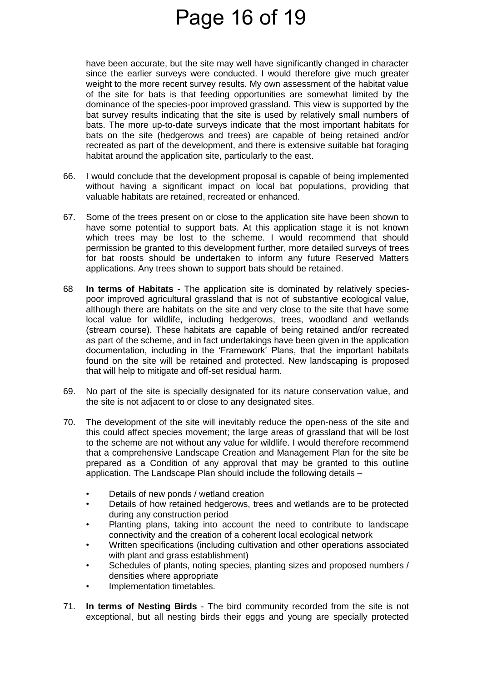### Page 16 of 19

have been accurate, but the site may well have significantly changed in character since the earlier surveys were conducted. I would therefore give much greater weight to the more recent survey results. My own assessment of the habitat value of the site for bats is that feeding opportunities are somewhat limited by the dominance of the species-poor improved grassland. This view is supported by the bat survey results indicating that the site is used by relatively small numbers of bats. The more up-to-date surveys indicate that the most important habitats for bats on the site (hedgerows and trees) are capable of being retained and/or recreated as part of the development, and there is extensive suitable bat foraging habitat around the application site, particularly to the east.

- 66. I would conclude that the development proposal is capable of being implemented without having a significant impact on local bat populations, providing that valuable habitats are retained, recreated or enhanced.
- 67. Some of the trees present on or close to the application site have been shown to have some potential to support bats. At this application stage it is not known which trees may be lost to the scheme. I would recommend that should permission be granted to this development further, more detailed surveys of trees for bat roosts should be undertaken to inform any future Reserved Matters applications. Any trees shown to support bats should be retained.
- 68 **In terms of Habitats** The application site is dominated by relatively speciespoor improved agricultural grassland that is not of substantive ecological value, although there are habitats on the site and very close to the site that have some local value for wildlife, including hedgerows, trees, woodland and wetlands (stream course). These habitats are capable of being retained and/or recreated as part of the scheme, and in fact undertakings have been given in the application documentation, including in the 'Framework' Plans, that the important habitats found on the site will be retained and protected. New landscaping is proposed that will help to mitigate and off-set residual harm.
- 69. No part of the site is specially designated for its nature conservation value, and the site is not adjacent to or close to any designated sites.
- 70. The development of the site will inevitably reduce the open-ness of the site and this could affect species movement; the large areas of grassland that will be lost to the scheme are not without any value for wildlife. I would therefore recommend that a comprehensive Landscape Creation and Management Plan for the site be prepared as a Condition of any approval that may be granted to this outline application. The Landscape Plan should include the following details –
	- Details of new ponds / wetland creation
	- Details of how retained hedgerows, trees and wetlands are to be protected during any construction period
	- Planting plans, taking into account the need to contribute to landscape connectivity and the creation of a coherent local ecological network
	- Written specifications (including cultivation and other operations associated with plant and grass establishment)
	- Schedules of plants, noting species, planting sizes and proposed numbers / densities where appropriate
	- Implementation timetables.
- 71. **In terms of Nesting Birds**  The bird community recorded from the site is not exceptional, but all nesting birds their eggs and young are specially protected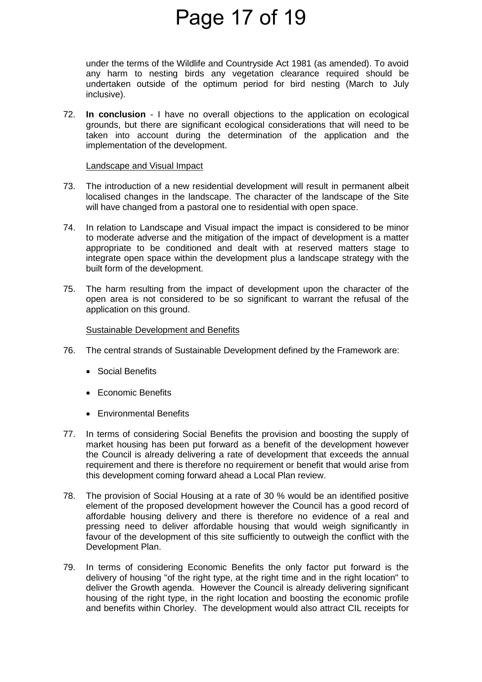### Page 17 of 19

under the terms of the Wildlife and Countryside Act 1981 (as amended). To avoid any harm to nesting birds any vegetation clearance required should be undertaken outside of the optimum period for bird nesting (March to July inclusive).

72. **In conclusion** - I have no overall objections to the application on ecological grounds, but there are significant ecological considerations that will need to be taken into account during the determination of the application and the implementation of the development.

#### Landscape and Visual Impact

- 73. The introduction of a new residential development will result in permanent albeit localised changes in the landscape. The character of the landscape of the Site will have changed from a pastoral one to residential with open space.
- 74. In relation to Landscape and Visual impact the impact is considered to be minor to moderate adverse and the mitigation of the impact of development is a matter appropriate to be conditioned and dealt with at reserved matters stage to integrate open space within the development plus a landscape strategy with the built form of the development.
- 75. The harm resulting from the impact of development upon the character of the open area is not considered to be so significant to warrant the refusal of the application on this ground.

### Sustainable Development and Benefits

- 76. The central strands of Sustainable Development defined by the Framework are:
	- Social Benefits
	- Economic Benefits
	- **•** Environmental Benefits
- 77. In terms of considering Social Benefits the provision and boosting the supply of market housing has been put forward as a benefit of the development however the Council is already delivering a rate of development that exceeds the annual requirement and there is therefore no requirement or benefit that would arise from this development coming forward ahead a Local Plan review.
- 78. The provision of Social Housing at a rate of 30 % would be an identified positive element of the proposed development however the Council has a good record of affordable housing delivery and there is therefore no evidence of a real and pressing need to deliver affordable housing that would weigh significantly in favour of the development of this site sufficiently to outweigh the conflict with the Development Plan.
- 79. In terms of considering Economic Benefits the only factor put forward is the delivery of housing "of the right type, at the right time and in the right location" to deliver the Growth agenda. However the Council is already delivering significant housing of the right type, in the right location and boosting the economic profile and benefits within Chorley. The development would also attract CIL receipts for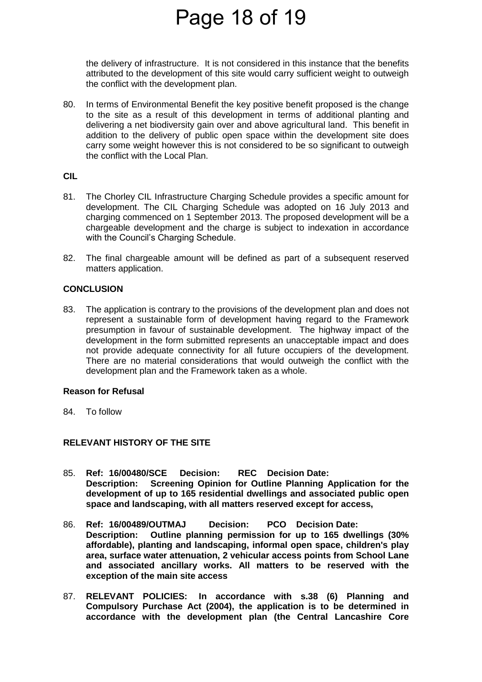### Page 18 of 19

the delivery of infrastructure. It is not considered in this instance that the benefits attributed to the development of this site would carry sufficient weight to outweigh the conflict with the development plan.

80. In terms of Environmental Benefit the key positive benefit proposed is the change to the site as a result of this development in terms of additional planting and delivering a net biodiversity gain over and above agricultural land. This benefit in addition to the delivery of public open space within the development site does carry some weight however this is not considered to be so significant to outweigh the conflict with the Local Plan.

### **CIL**

- 81. The Chorley CIL Infrastructure Charging Schedule provides a specific amount for development. The CIL Charging Schedule was adopted on 16 July 2013 and charging commenced on 1 September 2013. The proposed development will be a chargeable development and the charge is subject to indexation in accordance with the Council's Charging Schedule.
- 82. The final chargeable amount will be defined as part of a subsequent reserved matters application.

### **CONCLUSION**

83. The application is contrary to the provisions of the development plan and does not represent a sustainable form of development having regard to the Framework presumption in favour of sustainable development. The highway impact of the development in the form submitted represents an unacceptable impact and does not provide adequate connectivity for all future occupiers of the development. There are no material considerations that would outweigh the conflict with the development plan and the Framework taken as a whole.

#### **Reason for Refusal**

84. To follow

### **RELEVANT HISTORY OF THE SITE**

- 85. **Ref: 16/00480/SCE Decision: REC Decision Date: Description: Screening Opinion for Outline Planning Application for the development of up to 165 residential dwellings and associated public open space and landscaping, with all matters reserved except for access,**
- 86. **Ref: 16/00489/OUTMAJ Decision: PCO Decision Date: Description: Outline planning permission for up to 165 dwellings (30% affordable), planting and landscaping, informal open space, children's play area, surface water attenuation, 2 vehicular access points from School Lane and associated ancillary works. All matters to be reserved with the exception of the main site access**
- 87. **RELEVANT POLICIES: In accordance with s.38 (6) Planning and Compulsory Purchase Act (2004), the application is to be determined in accordance with the development plan (the Central Lancashire Core**